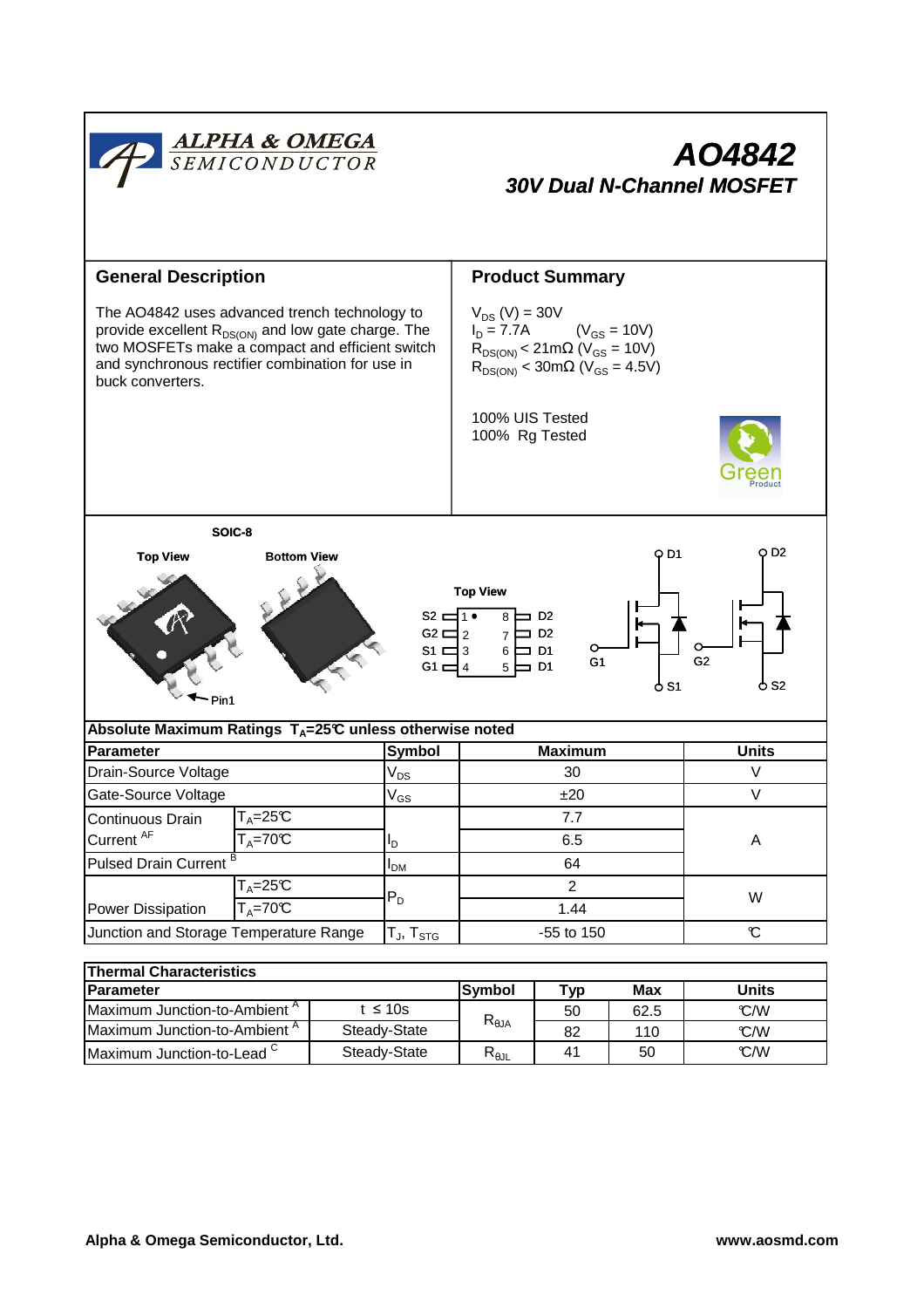

| l I lieliliai Gilaracteristics           |              |                                   |     |      |              |  |  |  |  |
|------------------------------------------|--------------|-----------------------------------|-----|------|--------------|--|--|--|--|
| <b>IParameter</b>                        |              | lSvmbol                           | ⊤үр | Max  | <b>Units</b> |  |  |  |  |
| IMaximum Junction-to-Ambient "           | t ≤ 10s      |                                   | 50  | 62.5 | C/W          |  |  |  |  |
| Maximum Junction-to-Ambient <sup>"</sup> | Steady-State | $\mathsf{R}_{\theta \mathsf{JA}}$ | 82  | 110  | C/W          |  |  |  |  |
| Maximum Junction-to-Lead $\degree$       | Steady-State | $R_{\theta \text{JL}}$            | 41  | 50   | C/W          |  |  |  |  |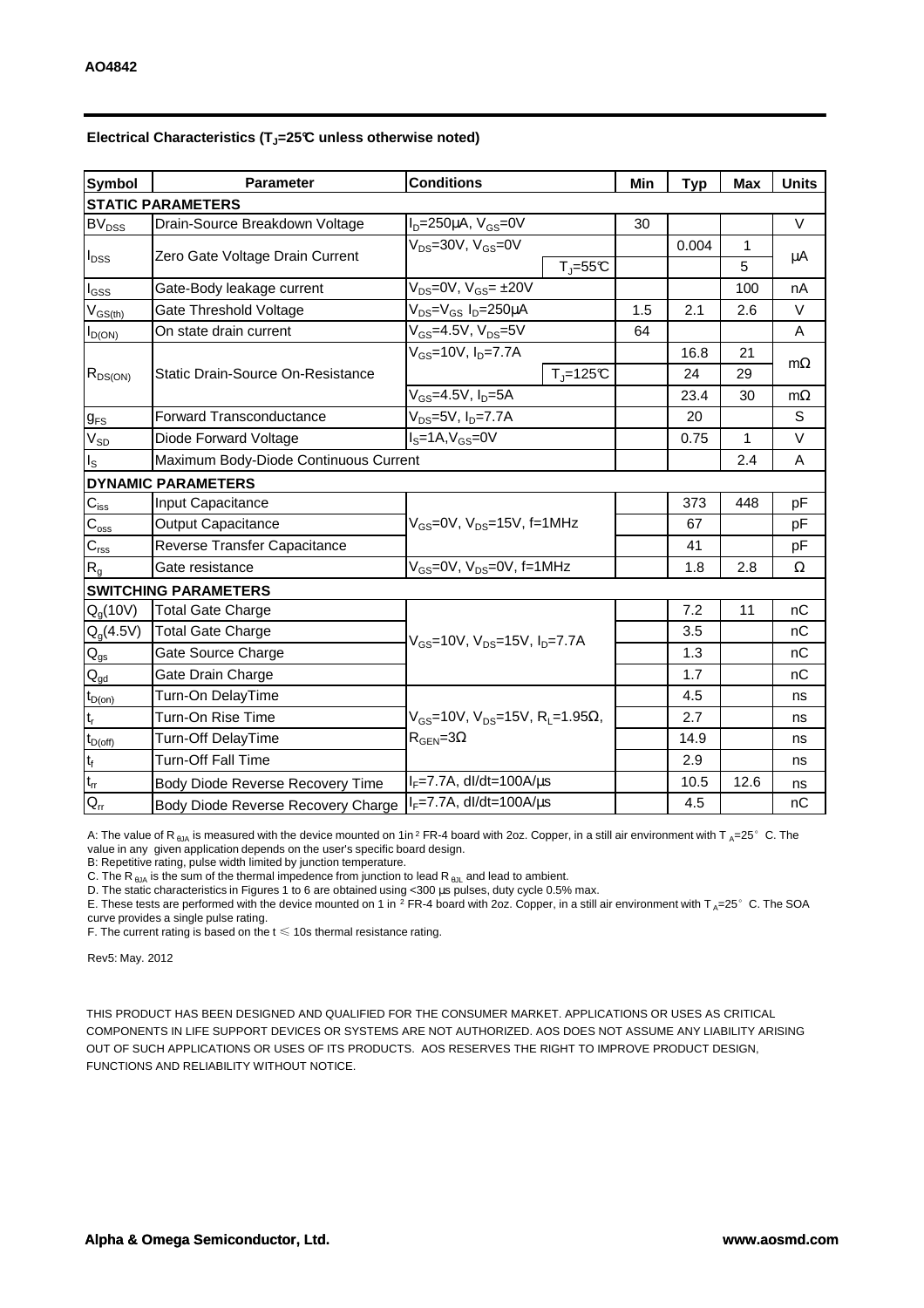| <b>Symbol</b>               | <b>Conditions</b><br><b>Parameter</b> |                                                                                    | Min                | <b>Typ</b> | <b>Max</b> | <b>Units</b> |           |  |  |  |  |
|-----------------------------|---------------------------------------|------------------------------------------------------------------------------------|--------------------|------------|------------|--------------|-----------|--|--|--|--|
| <b>STATIC PARAMETERS</b>    |                                       |                                                                                    |                    |            |            |              |           |  |  |  |  |
| BV <sub>DSS</sub>           | Drain-Source Breakdown Voltage        | $I_D = 250 \mu A$ , $V_{GS} = 0V$                                                  |                    | 30         |            |              | $\vee$    |  |  |  |  |
| $I_{DSS}$                   |                                       | $V_{DS}$ =30V, $V_{GS}$ =0V                                                        |                    |            | 0.004      | $\mathbf{1}$ |           |  |  |  |  |
|                             | Zero Gate Voltage Drain Current       |                                                                                    | $T_J = 55C$        |            |            | 5            | μA        |  |  |  |  |
| $I_{GSS}$                   | Gate-Body leakage current             | $V_{DS} = 0V$ , $V_{GS} = \pm 20V$                                                 |                    |            |            | 100          | nA        |  |  |  |  |
| $V_{GS(th)}$                | Gate Threshold Voltage                | V <sub>DS</sub> =V <sub>GS</sub> I <sub>D</sub> =250µA                             |                    | 1.5        | 2.1        | 2.6          | V         |  |  |  |  |
| $I_{D(ON)}$                 | On state drain current                | $V_{GS}$ =4.5V, $V_{DS}$ =5V                                                       |                    | 64         |            |              | A         |  |  |  |  |
| $R_{DS(ON)}$                |                                       | $V_{GS}$ =10V, $I_{D}$ =7.7A                                                       |                    |            | 16.8       | 21           |           |  |  |  |  |
|                             | Static Drain-Source On-Resistance     |                                                                                    | $T_{\rm J}$ =125°C |            | 24         | 29           | $m\Omega$ |  |  |  |  |
|                             |                                       | $V_{GS}$ =4.5V, $I_D$ =5A                                                          |                    |            | 23.4       | 30           | $m\Omega$ |  |  |  |  |
| $g_{FS}$                    | <b>Forward Transconductance</b>       | $V_{DS} = 5V$ , $I_D = 7.7A$                                                       |                    |            | 20         |              | S         |  |  |  |  |
| $V_{SD}$                    | Diode Forward Voltage                 | $IS=1A, VGS=0V$                                                                    |                    |            | 0.75       | $\mathbf{1}$ | V         |  |  |  |  |
| $I_{\rm S}$                 | Maximum Body-Diode Continuous Current |                                                                                    |                    |            |            | 2.4          | Α         |  |  |  |  |
|                             | <b>DYNAMIC PARAMETERS</b>             |                                                                                    |                    |            |            |              |           |  |  |  |  |
| $\mathbf{C}_{\text{iss}}$   | Input Capacitance                     | V <sub>GS</sub> =0V, V <sub>DS</sub> =15V, f=1MHz                                  |                    |            | 373        | 448          | рF        |  |  |  |  |
| $\mathbf{C}_{\mathrm{oss}}$ | Output Capacitance                    |                                                                                    |                    |            | 67         |              | pF        |  |  |  |  |
| $\mathbf{C}_{\text{rss}}$   | Reverse Transfer Capacitance          |                                                                                    |                    |            | 41         |              | pF        |  |  |  |  |
| $R_{g}$                     | Gate resistance                       | $V_{GS}$ =0V, $V_{DS}$ =0V, f=1MHz                                                 |                    |            | 1.8        | 2.8          | Ω         |  |  |  |  |
|                             | <b>SWITCHING PARAMETERS</b>           |                                                                                    |                    |            |            |              |           |  |  |  |  |
| $Q_q(10V)$                  | <b>Total Gate Charge</b>              | $V_{GS}$ =10V, $V_{DS}$ =15V, $I_{D}$ =7.7A                                        |                    |            | 7.2        | 11           | nC        |  |  |  |  |
| $Q_g(4.5V)$                 | <b>Total Gate Charge</b>              |                                                                                    |                    |            | 3.5        |              | nC        |  |  |  |  |
| $\mathsf{Q}_{\mathsf{gs}}$  | Gate Source Charge                    |                                                                                    |                    |            | 1.3        |              | nC        |  |  |  |  |
| $Q_{gd}$                    | Gate Drain Charge                     |                                                                                    |                    |            | 1.7        |              | nC        |  |  |  |  |
| $t_{D(0n)}$                 | Turn-On DelayTime                     | $V_{GS}$ =10V, $V_{DS}$ =15V, R <sub>L</sub> =1.95Ω,<br>$R_{\text{GEN}} = 3\Omega$ |                    |            | 4.5        |              | ns        |  |  |  |  |
| $\mathfrak{t}_{\sf r}$      | Turn-On Rise Time                     |                                                                                    |                    |            | 2.7        |              | ns        |  |  |  |  |
| $t_{D(off)}$                | Turn-Off DelayTime                    |                                                                                    |                    |            | 14.9       |              | ns        |  |  |  |  |
| $\mathsf{t}_{\mathsf{f}}$   | <b>Turn-Off Fall Time</b>             |                                                                                    |                    |            | 2.9        |              | ns        |  |  |  |  |
| $t_{rr}$                    | Body Diode Reverse Recovery Time      | $I_F = 7.7A$ , dl/dt=100A/ $\mu$ s                                                 |                    |            | 10.5       | 12.6         | ns        |  |  |  |  |
| $Q_{rr}$                    | Body Diode Reverse Recovery Charge    | $I_F$ =7.7A, dl/dt=100A/ $\mu$ s                                                   |                    |            | 4.5        |              | nC        |  |  |  |  |

## **Electrical Characteristics (TJ=25°C unless otherwise noted)**

A: The value of R<sub>6JA</sub> is measured with the device mounted on 1in<sup>2</sup> FR-4 board with 2oz. Copper, in a still air environment with T<sub>A</sub>=25°C. The value in any given application depends on the user's specific board design.

B: Repetitive rating, pulse width limited by junction temperature.

C. The R<sub>BJA</sub> is the sum of the thermal impedence from junction to lead R<sub>BJL</sub> and lead to ambient.

D. The static characteristics in Figures 1 to 6 are obtained using <300 µs pulses, duty cycle 0.5% max.

E. These tests are performed with the device mounted on 1 in <sup>2</sup> FR-4 board with 2oz. Copper, in a still air environment with T<sub>A</sub>=25°C. The SOA curve provides a single pulse rating.

F. The current rating is based on the  $t \leq 10$ s thermal resistance rating.

Rev5: May. 2012

THIS PRODUCT HAS BEEN DESIGNED AND QUALIFIED FOR THE CONSUMER MARKET. APPLICATIONS OR USES AS CRITICAL COMPONENTS IN LIFE SUPPORT DEVICES OR SYSTEMS ARE NOT AUTHORIZED. AOS DOES NOT ASSUME ANY LIABILITY ARISING OUT OF SUCH APPLICATIONS OR USES OF ITS PRODUCTS. AOS RESERVES THE RIGHT TO IMPROVE PRODUCT DESIGN, FUNCTIONS AND RELIABILITY WITHOUT NOTICE.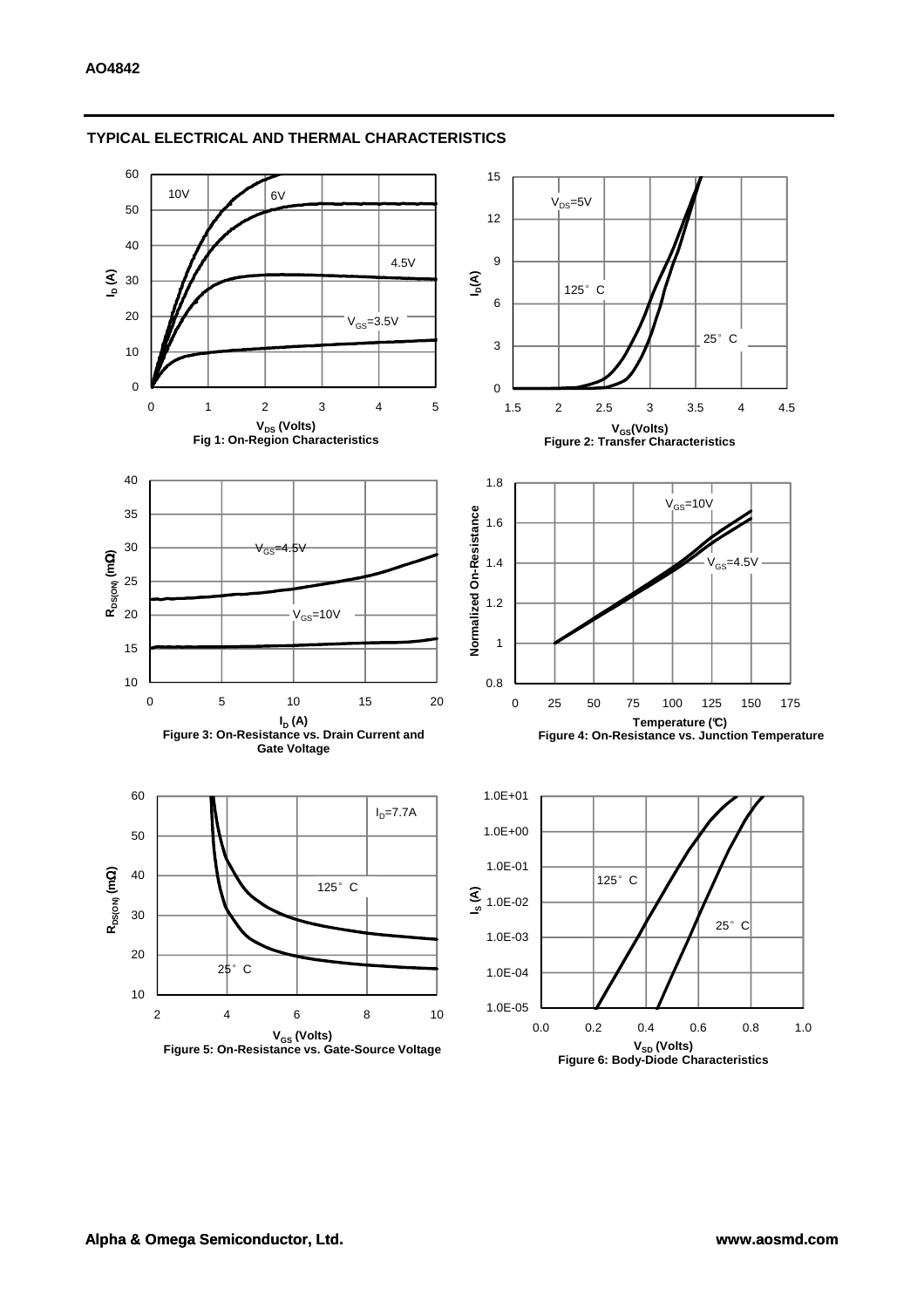

## **TYPICAL ELECTRICAL AND THERMAL CHARACTERISTICS**